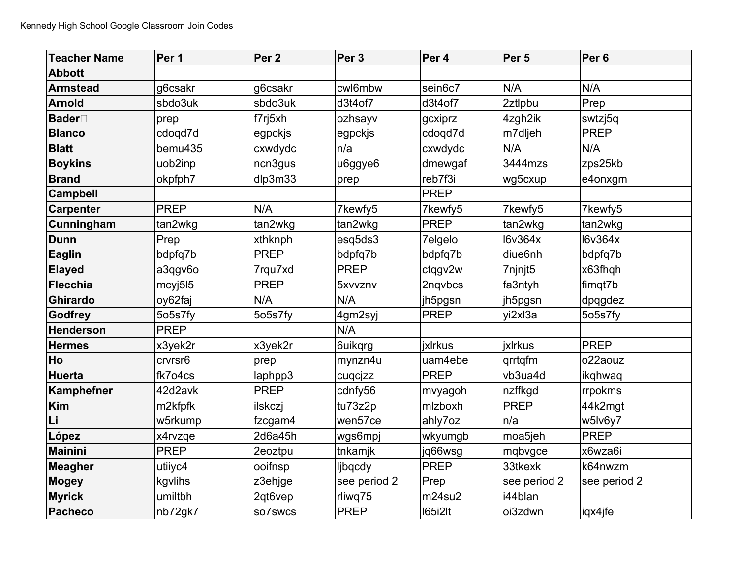| <b>Teacher Name</b> | Per 1       | Per <sub>2</sub> | Per <sub>3</sub> | Per 4          | Per <sub>5</sub> | Per <sub>6</sub> |
|---------------------|-------------|------------------|------------------|----------------|------------------|------------------|
| <b>Abbott</b>       |             |                  |                  |                |                  |                  |
| <b>Armstead</b>     | g6csakr     | g6csakr          | cwl6mbw          | sein6c7        | N/A              | N/A              |
| <b>Arnold</b>       | sbdo3uk     | sbdo3uk          | d3t4of7          | d3t4of7        | 2ztlpbu          | Prep             |
| <b>Bader</b>        | prep        | f7rj5xh          | ozhsayv          | gcxiprz        | 4zgh2ik          | swtzj5q          |
| <b>Blanco</b>       | cdogd7d     | egpckjs          | egpckjs          | cdogd7d        | m7dljeh          | <b>PREP</b>      |
| <b>Blatt</b>        | bemu435     | cxwdydc          | n/a              | cxwdydc        | N/A              | N/A              |
| <b>Boykins</b>      | uob2inp     | ncn3gus          | u6ggye6          | dmewgaf        | 3444mzs          | zps25kb          |
| <b>Brand</b>        | okpfph7     | dlp3m33          | prep             | reb7f3i        | wg5cxup          | e4onxgm          |
| <b>Campbell</b>     |             |                  |                  | <b>PREP</b>    |                  |                  |
| <b>Carpenter</b>    | <b>PREP</b> | N/A              | 7kewfy5          | 7kewfy5        | 7kewfy5          | 7kewfy5          |
| Cunningham          | tan2wkg     | tan2wkg          | tan2wkg          | <b>PREP</b>    | tan2wkg          | tan2wkg          |
| <b>Dunn</b>         | Prep        | xthknph          | esq5ds3          | 7elgelo        | <b>I6v364x</b>   | <b>I6v364x</b>   |
| <b>Eaglin</b>       | bdpfq7b     | <b>PREP</b>      | bdpfq7b          | bdpfq7b        | diue6nh          | bdpfq7b          |
| <b>Elayed</b>       | a3qgv6o     | 7rqu7xd          | <b>PREP</b>      | ctqgv2w        | 7njnjt5          | x63fhqh          |
| <b>Flecchia</b>     | mcyj515     | <b>PREP</b>      | 5xvvznv          | 2ngvbcs        | fa3ntyh          | fimgt7b          |
| <b>Ghirardo</b>     | oy62faj     | N/A              | N/A              | jh5pgsn        | jh5pgsn          | dpqgdez          |
| Godfrey             | 5o5s7fy     | 5o5s7fy          | 4gm2syj          | <b>PREP</b>    | yi2xl3a          | 5o5s7fy          |
| <b>Henderson</b>    | <b>PREP</b> |                  | N/A              |                |                  |                  |
| <b>Hermes</b>       | x3yek2r     | x3yek2r          | 6uikqrg          | <b>jxlrkus</b> | ixlrkus          | <b>PREP</b>      |
| Ho                  | crvrsr6     | prep             | mynzn4u          | uam4ebe        | grrtgfm          | o22aouz          |
| <b>Huerta</b>       | fk7o4cs     | laphpp3          | cuqcjzz          | <b>PREP</b>    | vb3ua4d          | ikghwag          |
| Kamphefner          | 42d2avk     | <b>PREP</b>      | cdnfy56          | mvyagoh        | nzffkgd          | rrpokms          |
| Kim                 | m2kfpfk     | ilskczj          | tu73z2p          | mlzboxh        | PREP             | 44k2mgt          |
| Li                  | w5rkump     | fzcgam4          | wen57ce          | ahly7oz        | n/a              | w5lv6y7          |
| López               | x4rvzqe     | 2d6a45h          | wgs6mpj          | wkyumgb        | moa5jeh          | <b>PREP</b>      |
| <b>Mainini</b>      | <b>PREP</b> | 2eoztpu          | tnkamjk          | jq66wsg        | mqbvgce          | x6wza6i          |
| <b>Meagher</b>      | utiiyc4     | ooifnsp          | ljbqcdy          | <b>PREP</b>    | 33tkexk          | k64nwzm          |
| Mogey               | kgvlihs     | z3ehjge          | see period 2     | Prep           | see period 2     | see period 2     |
| <b>Myrick</b>       | umiltbh     | 2qt6vep          | rliwq75          | m24su2         | i44blan          |                  |
| Pacheco             | nb72gk7     | so7swcs          | <b>PREP</b>      | <b>165i2lt</b> | oi3zdwn          | iqx4jfe          |